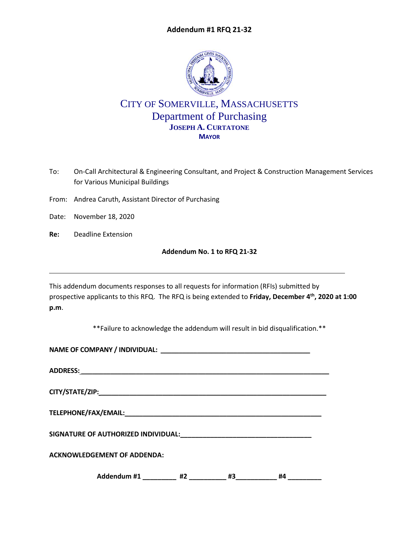# **Addendum #1 RFQ 21-32**



# CITY OF SOMERVILLE, MASSACHUSETTS Department of Purchasing **JOSEPH A. CURTATONE MAYOR**

- To: On-Call Architectural & Engineering Consultant, and Project & Construction Management Services for Various Municipal Buildings
- From: Andrea Caruth, Assistant Director of Purchasing
- Date: November 18, 2020
- **Re:** Deadline Extension

# **Addendum No. 1 to RFQ 21-32**

This addendum documents responses to all requests for information (RFIs) submitted by prospective applicants to this RFQ. The RFQ is being extended to **Friday, December 4th, 2020 at 1:00 p.m**.

\*\*Failure to acknowledge the addendum will result in bid disqualification.\*\*

|  | <b>ACKNOWLEDGEMENT OF ADDENDA:</b> |  |                 |    |  |
|--|------------------------------------|--|-----------------|----|--|
|  | Addendum #1 _________ #2 _________ |  | $\overline{43}$ | #4 |  |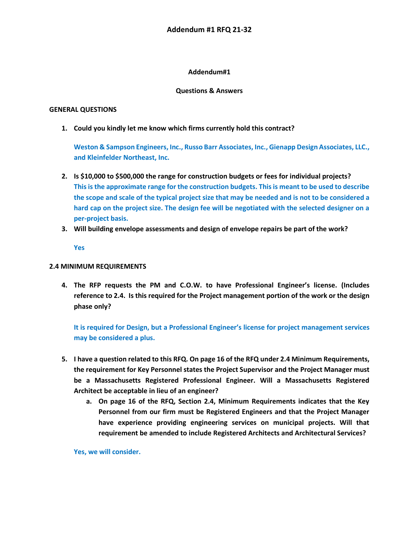## **Addendum#1**

#### **Questions & Answers**

### **GENERAL QUESTIONS**

**1. Could you kindly let me know which firms currently hold this contract?**

**Weston & Sampson Engineers, Inc., Russo Barr Associates, Inc., Gienapp Design Associates, LLC., and Kleinfelder Northeast, Inc.**

- **2. Is \$10,000 to \$500,000 the range for construction budgets or fees for individual projects? This is the approximate range for the construction budgets. This is meant to be used to describe the scope and scale of the typical project size that may be needed and is not to be considered a hard cap on the project size. The design fee will be negotiated with the selected designer on a per-project basis.**
- **3. Will building envelope assessments and design of envelope repairs be part of the work?**

**Yes**

## **2.4 MINIMUM REQUIREMENTS**

**4. The RFP requests the PM and C.O.W. to have Professional Engineer's license. (Includes reference to 2.4. Is this required for the Project management portion of the work or the design phase only?**

**It is required for Design, but a Professional Engineer's license for project management services may be considered a plus.**

- **5. I have a question related to this RFQ. On page 16 of the RFQ under 2.4 Minimum Requirements, the requirement for Key Personnel states the Project Supervisor and the Project Manager must be a Massachusetts Registered Professional Engineer. Will a Massachusetts Registered Architect be acceptable in lieu of an engineer?** 
	- **a. On page 16 of the RFQ, Section 2.4, Minimum Requirements indicates that the Key Personnel from our firm must be Registered Engineers and that the Project Manager have experience providing engineering services on municipal projects. Will that requirement be amended to include Registered Architects and Architectural Services?**

**Yes, we will consider.**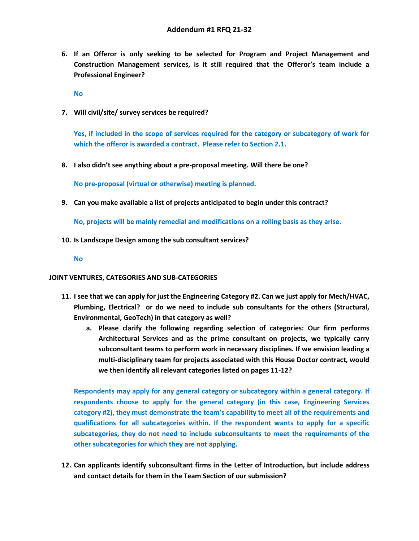**6. If an Offeror is only seeking to be selected for Program and Project Management and Construction Management services, is it still required that the Offeror's team include a Professional Engineer?** 

**No**

**7. Will civil/site/ survey services be required?**

**Yes, if included in the scope of services required for the category or subcategory of work for which the offeror is awarded a contract. Please refer to Section 2.1.**

**8. I also didn't see anything about a pre-proposal meeting. Will there be one?**

**No pre-proposal (virtual or otherwise) meeting is planned.**

**9. Can you make available a list of projects anticipated to begin under this contract?**

**No, projects will be mainly remedial and modifications on a rolling basis as they arise.**

- **10. Is Landscape Design among the sub consultant services?**
	- **No**

#### **JOINT VENTURES, CATEGORIES AND SUB-CATEGORIES**

- **11. I see that we can apply for just the Engineering Category #2. Can we just apply for Mech/HVAC, Plumbing, Electrical? or do we need to include sub consultants for the others (Structural, Environmental, GeoTech) in that category as well?**
	- **a. Please clarify the following regarding selection of categories: Our firm performs Architectural Services and as the prime consultant on projects, we typically carry subconsultant teams to perform work in necessary disciplines. If we envision leading a multi-disciplinary team for projects associated with this House Doctor contract, would we then identify all relevant categories listed on pages 11-12?**

**Respondents may apply for any general category or subcategory within a general category. If respondents choose to apply for the general category (in this case, Engineering Services category #2), they must demonstrate the team's capability to meet all of the requirements and qualifications for all subcategories within. If the respondent wants to apply for a specific subcategories, they do not need to include subconsultants to meet the requirements of the other subcategories for which they are not applying.**

**12. Can applicants identify subconsultant firms in the Letter of Introduction, but include address and contact details for them in the Team Section of our submission?**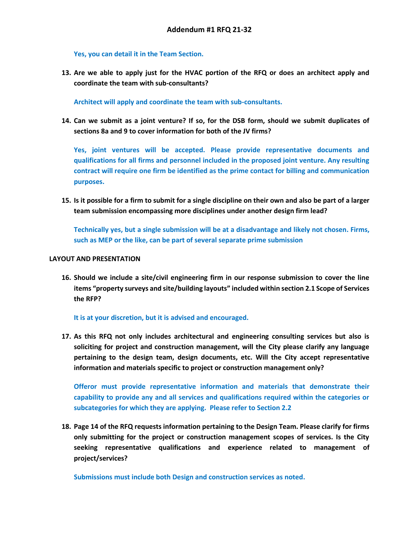**Yes, you can detail it in the Team Section.**

**13. Are we able to apply just for the HVAC portion of the RFQ or does an architect apply and coordinate the team with sub-consultants?**

**Architect will apply and coordinate the team with sub-consultants.**

**14. Can we submit as a joint venture? If so, for the DSB form, should we submit duplicates of sections 8a and 9 to cover information for both of the JV firms?**

**Yes, joint ventures will be accepted. Please provide representative documents and qualifications for all firms and personnel included in the proposed joint venture. Any resulting contract will require one firm be identified as the prime contact for billing and communication purposes.**

**15. Is it possible for a firm to submit for a single discipline on their own and also be part of a larger team submission encompassing more disciplines under another design firm lead?**

**Technically yes, but a single submission will be at a disadvantage and likely not chosen. Firms, such as MEP or the like, can be part of several separate prime submission**

### **LAYOUT AND PRESENTATION**

**16. Should we include a site/civil engineering firm in our response submission to cover the line items "property surveys and site/building layouts" included within section 2.1 Scope of Services the RFP?** 

#### **It is at your discretion, but it is advised and encouraged.**

**17. As this RFQ not only includes architectural and engineering consulting services but also is soliciting for project and construction management, will the City please clarify any language pertaining to the design team, design documents, etc. Will the City accept representative information and materials specific to project or construction management only?** 

**Offeror must provide representative information and materials that demonstrate their capability to provide any and all services and qualifications required within the categories or subcategories for which they are applying. Please refer to Section 2.2**

**18. Page 14 of the RFQ requests information pertaining to the Design Team. Please clarify for firms only submitting for the project or construction management scopes of services. Is the City seeking representative qualifications and experience related to management of project/services?**

**Submissions must include both Design and construction services as noted.**